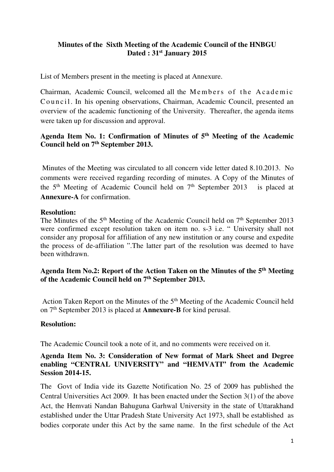### **Minutes of the Sixth Meeting of the Academic Council of the HNBGU Dated : 31st January 2015**

List of Members present in the meeting is placed at Annexure.

Chairman, Academic Council, welcomed all the Members of the Academic Council. In his opening observations, Chairman, Academic Council, presented an overview of the academic functioning of the University. Thereafter, the agenda items were taken up for discussion and approval.

# **Agenda Item No. 1: Confirmation of Minutes of 5th Meeting of the Academic Council held on 7th September 2013.**

 Minutes of the Meeting was circulated to all concern vide letter dated 8.10.2013. No comments were received regarding recording of minutes. A Copy of the Minutes of the 5<sup>th</sup> Meeting of Academic Council held on 7<sup>th</sup> September 2013 is placed at **Annexure-A** for confirmation.

### **Resolution:**

The Minutes of the 5<sup>th</sup> Meeting of the Academic Council held on 7<sup>th</sup> September 2013 were confirmed except resolution taken on item no. s-3 i.e. " University shall not consider any proposal for affiliation of any new institution or any course and expedite the process of de-affiliation ".The latter part of the resolution was deemed to have been withdrawn.

**Agenda Item No.2: Report of the Action Taken on the Minutes of the 5th Meeting of the Academic Council held on 7th September 2013.** 

Action Taken Report on the Minutes of the 5<sup>th</sup> Meeting of the Academic Council held on 7th September 2013 is placed at **Annexure-B** for kind perusal.

### **Resolution:**

The Academic Council took a note of it, and no comments were received on it.

### **Agenda Item No. 3: Consideration of New format of Mark Sheet and Degree enabling "CENTRAL UNIVERSITY" and "HEMVATI" from the Academic Session 2014-15.**

The Govt of India vide its Gazette Notification No. 25 of 2009 has published the Central Universities Act 2009. It has been enacted under the Section 3(1) of the above Act, the Hemvati Nandan Bahuguna Garhwal University in the state of Uttarakhand established under the Uttar Pradesh State University Act 1973, shall be established as bodies corporate under this Act by the same name. In the first schedule of the Act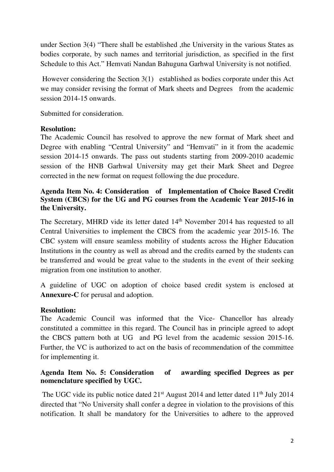under Section 3(4) "There shall be established ,the University in the various States as bodies corporate, by such names and territorial jurisdiction, as specified in the first Schedule to this Act." Hemvati Nandan Bahuguna Garhwal University is not notified.

 However considering the Section 3(1) established as bodies corporate under this Act we may consider revising the format of Mark sheets and Degrees from the academic session 2014-15 onwards.

Submitted for consideration.

### **Resolution:**

The Academic Council has resolved to approve the new format of Mark sheet and Degree with enabling "Central University" and "Hemvati" in it from the academic session 2014-15 onwards. The pass out students starting from 2009-2010 academic session of the HNB Garhwal University may get their Mark Sheet and Degree corrected in the new format on request following the due procedure.

# **Agenda Item No. 4: Consideration of Implementation of Choice Based Credit System (CBCS) for the UG and PG courses from the Academic Year 2015-16 in the University.**

The Secretary, MHRD vide its letter dated 14<sup>th</sup> November 2014 has requested to all Central Universities to implement the CBCS from the academic year 2015-16. The CBC system will ensure seamless mobility of students across the Higher Education Institutions in the country as well as abroad and the credits earned by the students can be transferred and would be great value to the students in the event of their seeking migration from one institution to another.

A guideline of UGC on adoption of choice based credit system is enclosed at **Annexure-C** for perusal and adoption.

### **Resolution:**

The Academic Council was informed that the Vice- Chancellor has already constituted a committee in this regard. The Council has in principle agreed to adopt the CBCS pattern both at UG and PG level from the academic session 2015-16. Further, the VC is authorized to act on the basis of recommendation of the committee for implementing it.

# **Agenda Item No. 5: Consideration of awarding specified Degrees as per nomenclature specified by UGC.**

The UGC vide its public notice dated  $21<sup>st</sup>$  August 2014 and letter dated  $11<sup>th</sup>$  July 2014 directed that "No University shall confer a degree in violation to the provisions of this notification. It shall be mandatory for the Universities to adhere to the approved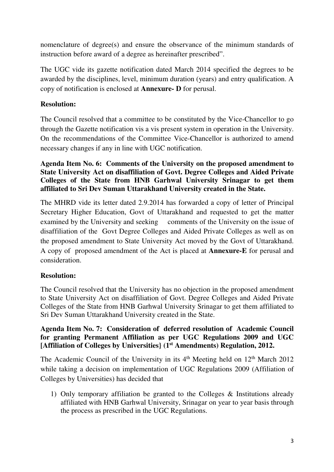nomenclature of degree(s) and ensure the observance of the minimum standards of instruction before award of a degree as hereinafter prescribed".

The UGC vide its gazette notification dated March 2014 specified the degrees to be awarded by the disciplines, level, minimum duration (years) and entry qualification. A copy of notification is enclosed at **Annexure- D** for perusal.

# **Resolution:**

The Council resolved that a committee to be constituted by the Vice-Chancellor to go through the Gazette notification vis a vis present system in operation in the University. On the recommendations of the Committee Vice-Chancellor is authorized to amend necessary changes if any in line with UGC notification.

**Agenda Item No. 6: Comments of the University on the proposed amendment to State University Act on disaffiliation of Govt. Degree Colleges and Aided Private Colleges of the State from HNB Garhwal University Srinagar to get them affiliated to Sri Dev Suman Uttarakhand University created in the State.** 

The MHRD vide its letter dated 2.9.2014 has forwarded a copy of letter of Principal Secretary Higher Education, Govt of Uttarakhand and requested to get the matter examined by the University and seeking comments of the University on the issue of disaffiliation of the Govt Degree Colleges and Aided Private Colleges as well as on the proposed amendment to State University Act moved by the Govt of Uttarakhand. A copy of proposed amendment of the Act is placed at **Annexure-E** for perusal and consideration.

# **Resolution:**

The Council resolved that the University has no objection in the proposed amendment to State University Act on disaffiliation of Govt. Degree Colleges and Aided Private Colleges of the State from HNB Garhwal University Srinagar to get them affiliated to Sri Dev Suman Uttarakhand University created in the State.

### **Agenda Item No. 7: Consideration of deferred resolution of Academic Council for granting Permanent Affiliation as per UGC Regulations 2009 and UGC [Affiliation of Colleges by Universities} (1st Amendments) Regulation, 2012.**

The Academic Council of the University in its  $4<sup>th</sup>$  Meeting held on  $12<sup>th</sup>$  March 2012 while taking a decision on implementation of UGC Regulations 2009 (Affiliation of Colleges by Universities) has decided that

1) Only temporary affiliation be granted to the Colleges & Institutions already affiliated with HNB Garhwal University, Srinagar on year to year basis through the process as prescribed in the UGC Regulations.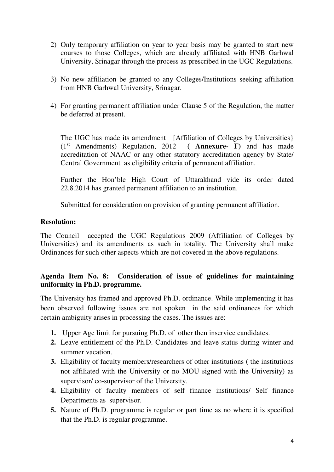- 2) Only temporary affiliation on year to year basis may be granted to start new courses to those Colleges, which are already affiliated with HNB Garhwal University, Srinagar through the process as prescribed in the UGC Regulations.
- 3) No new affiliation be granted to any Colleges/Institutions seeking affiliation from HNB Garhwal University, Srinagar.
- 4) For granting permanent affiliation under Clause 5 of the Regulation, the matter be deferred at present.

The UGC has made its amendment [Affiliation of Colleges by Universities] (1st Amendments) Regulation, 2012 **( Annexure- F)** and has made accreditation of NAAC or any other statutory accreditation agency by State/ Central Government as eligibility criteria of permanent affiliation.

Further the Hon'ble High Court of Uttarakhand vide its order dated 22.8.2014 has granted permanent affiliation to an institution.

Submitted for consideration on provision of granting permanent affiliation.

### **Resolution:**

The Council accepted the UGC Regulations 2009 (Affiliation of Colleges by Universities) and its amendments as such in totality. The University shall make Ordinances for such other aspects which are not covered in the above regulations.

# **Agenda Item No. 8: Consideration of issue of guidelines for maintaining uniformity in Ph.D. programme.**

The University has framed and approved Ph.D. ordinance. While implementing it has been observed following issues are not spoken in the said ordinances for which certain ambiguity arises in processing the cases. The issues are:

- **1.** Upper Age limit for pursuing Ph.D. of other then inservice candidates.
- **2.** Leave entitlement of the Ph.D. Candidates and leave status during winter and summer vacation.
- **3.** Eligibility of faculty members/researchers of other institutions ( the institutions not affiliated with the University or no MOU signed with the University) as supervisor/ co-supervisor of the University.
- **4.** Eligibility of faculty members of self finance institutions/ Self finance Departments as supervisor.
- **5.** Nature of Ph.D. programme is regular or part time as no where it is specified that the Ph.D. is regular programme.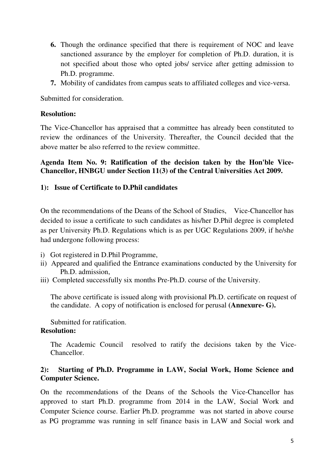- **6.** Though the ordinance specified that there is requirement of NOC and leave sanctioned assurance by the employer for completion of Ph.D. duration, it is not specified about those who opted jobs/ service after getting admission to Ph.D. programme.
- **7.** Mobility of candidates from campus seats to affiliated colleges and vice-versa.

Submitted for consideration.

### **Resolution:**

The Vice-Chancellor has appraised that a committee has already been constituted to review the ordinances of the University. Thereafter, the Council decided that the above matter be also referred to the review committee.

### **Agenda Item No. 9: Ratification of the decision taken by the Hon'ble Vice-Chancellor, HNBGU under Section 11(3) of the Central Universities Act 2009.**

### **1): Issue of Certificate to D.Phil candidates**

On the recommendations of the Deans of the School of Studies, Vice-Chancellor has decided to issue a certificate to such candidates as his/her D.Phil degree is completed as per University Ph.D. Regulations which is as per UGC Regulations 2009, if he/she had undergone following process:

- i) Got registered in D.Phil Programme,
- ii) Appeared and qualified the Entrance examinations conducted by the University for Ph.D. admission,
- iii) Completed successfully six months Pre-Ph.D. course of the University.

The above certificate is issued along with provisional Ph.D. certificate on request of the candidate. A copy of notification is enclosed for perusal **(Annexure- G).**

Submitted for ratification.

### **Resolution:**

The Academic Council resolved to ratify the decisions taken by the Vice-Chancellor.

### **2): Starting of Ph.D. Programme in LAW, Social Work, Home Science and Computer Science.**

On the recommendations of the Deans of the Schools the Vice-Chancellor has approved to start Ph.D. programme from 2014 in the LAW, Social Work and Computer Science course. Earlier Ph.D. programme was not started in above course as PG programme was running in self finance basis in LAW and Social work and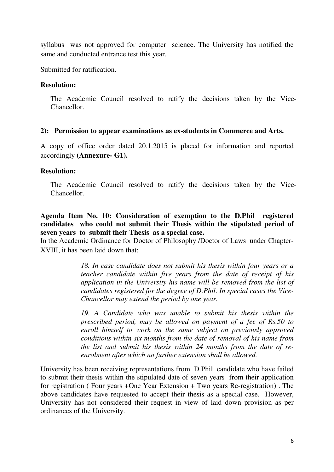syllabus was not approved for computer science. The University has notified the same and conducted entrance test this year.

Submitted for ratification.

#### **Resolution:**

The Academic Council resolved to ratify the decisions taken by the Vice-Chancellor.

#### **2): Permission to appear examinations as ex-students in Commerce and Arts.**

A copy of office order dated 20.1.2015 is placed for information and reported accordingly **(Annexure- G1).** 

### **Resolution:**

The Academic Council resolved to ratify the decisions taken by the Vice-Chancellor.

**Agenda Item No. 10: Consideration of exemption to the D.Phil registered candidates who could not submit their Thesis within the stipulated period of seven years to submit their Thesis as a special case.** 

In the Academic Ordinance for Doctor of Philosophy /Doctor of Laws under Chapter-XVIII, it has been laid down that:

> *18. In case candidate does not submit his thesis within four years or a teacher candidate within five years from the date of receipt of his application in the University his name will be removed from the list of candidates registered for the degree of D.Phil. In special cases the Vice-Chancellor may extend the period by one year.*

> *19. A Candidate who was unable to submit his thesis within the prescribed period, may be allowed on payment of a fee of Rs.50 to enroll himself to work on the same subject on previously approved conditions within six months from the date of removal of his name from the list and submit his thesis within 24 months from the date of reenrolment after which no further extension shall be allowed.*

University has been receiving representations from D.Phil candidate who have failed to submit their thesis within the stipulated date of seven years from their application for registration ( Four years +One Year Extension + Two years Re-registration) . The above candidates have requested to accept their thesis as a special case. However, University has not considered their request in view of laid down provision as per ordinances of the University.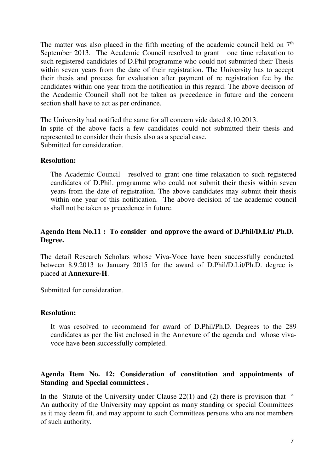The matter was also placed in the fifth meeting of the academic council held on  $7<sup>th</sup>$ September 2013. The Academic Council resolved to grant one time relaxation to such registered candidates of D.Phil programme who could not submitted their Thesis within seven years from the date of their registration. The University has to accept their thesis and process for evaluation after payment of re registration fee by the candidates within one year from the notification in this regard. The above decision of the Academic Council shall not be taken as precedence in future and the concern section shall have to act as per ordinance.

The University had notified the same for all concern vide dated 8.10.2013. In spite of the above facts a few candidates could not submitted their thesis and represented to consider their thesis also as a special case. Submitted for consideration.

#### **Resolution:**

The Academic Council resolved to grant one time relaxation to such registered candidates of D.Phil. programme who could not submit their thesis within seven years from the date of registration. The above candidates may submit their thesis within one year of this notification. The above decision of the academic council shall not be taken as precedence in future.

### **Agenda Item No.11 : To consider and approve the award of D.Phil/D.Lit/ Ph.D. Degree.**

The detail Research Scholars whose Viva-Voce have been successfully conducted between 8.9.2013 to January 2015 for the award of D.Phil/D.Lit/Ph.D. degree is placed at **Annexure-H**.

Submitted for consideration.

#### **Resolution:**

It was resolved to recommend for award of D.Phil/Ph.D. Degrees to the 289 candidates as per the list enclosed in the Annexure of the agenda and whose vivavoce have been successfully completed.

### **Agenda Item No. 12: Consideration of constitution and appointments of Standing and Special committees .**

In the Statute of the University under Clause  $22(1)$  and (2) there is provision that " An authority of the University may appoint as many standing or special Committees as it may deem fit, and may appoint to such Committees persons who are not members of such authority.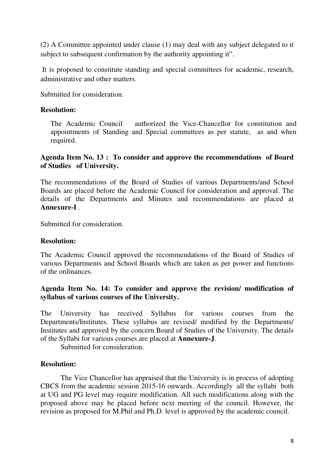(2) A Committee appointed under clause (1) may deal with any subject delegated to it subject to subsequent confirmation by the authority appointing it".

 It is proposed to constitute standing and special committees for academic, research, administrative and other matters.

Submitted for consideration.

### **Resolution:**

The Academic Council authorized the Vice-Chancellor for constitution and appointments of Standing and Special committees as per statute, as and when required.

### **Agenda Item No. 13 : To consider and approve the recommendations of Board of Studies of University.**

The recommendations of the Board of Studies of various Departments/and School Boards are placed before the Academic Council for consideration and approval. The details of the Departments and Minutes and recommendations are placed at **Annexure-I** .

Submitted for consideration.

### **Resolution:**

The Academic Council approved the recommendations of the Board of Studies of various Departments and School Boards which are taken as per power and functions of the ordinances.

### **Agenda Item No. 14: To consider and approve the revision/ modification of syllabus of various courses of the University.**

The University has received Syllabus for various courses from the Departments/Institutes. These syllabus are revised/ modified by the Departments/ Institutes and approved by the concern Board of Studies of the University. The details of the Syllabi for various courses are placed at **Annexure-J**.

Submitted for consideration.

#### **Resolution:**

The Vice Chancellor has appraised that the University is in process of adopting CBCS from the academic session 2015-16 onwards. Accordingly all the syllabi both at UG and PG level may require modification. All such modifications along with the proposed above may be placed before next meeting of the council. However, the revision as proposed for M.Phil and Ph.D. level is approved by the academic council.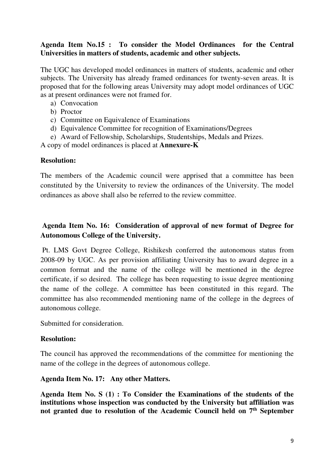### **Agenda Item No.15 : To consider the Model Ordinances for the Central Universities in matters of students, academic and other subjects.**

The UGC has developed model ordinances in matters of students, academic and other subjects. The University has already framed ordinances for twenty-seven areas. It is proposed that for the following areas University may adopt model ordinances of UGC as at present ordinances were not framed for.

- a) Convocation
- b) Proctor
- c) Committee on Equivalence of Examinations
- d) Equivalence Committee for recognition of Examinations/Degrees
- e) Award of Fellowship, Scholarships, Studentships, Medals and Prizes.

A copy of model ordinances is placed at **Annexure-K**

### **Resolution:**

The members of the Academic council were apprised that a committee has been constituted by the University to review the ordinances of the University. The model ordinances as above shall also be referred to the review committee.

# **Agenda Item No. 16: Consideration of approval of new format of Degree for Autonomous College of the University.**

 Pt. LMS Govt Degree College, Rishikesh conferred the autonomous status from 2008-09 by UGC. As per provision affiliating University has to award degree in a common format and the name of the college will be mentioned in the degree certificate, if so desired. The college has been requesting to issue degree mentioning the name of the college. A committee has been constituted in this regard. The committee has also recommended mentioning name of the college in the degrees of autonomous college.

Submitted for consideration.

### **Resolution:**

The council has approved the recommendations of the committee for mentioning the name of the college in the degrees of autonomous college.

### **Agenda Item No. 17: Any other Matters.**

**Agenda Item No. S (1) : To Consider the Examinations of the students of the institutions whose inspection was conducted by the University but affiliation was not granted due to resolution of the Academic Council held on 7th September**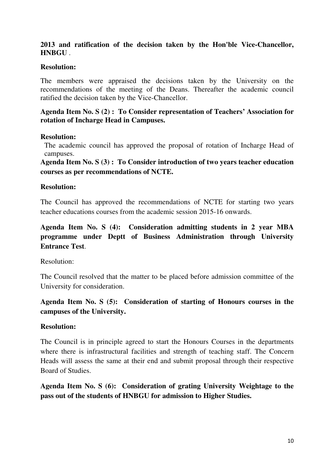### **2013 and ratification of the decision taken by the Hon'ble Vice-Chancellor, HNBGU** .

### **Resolution:**

The members were appraised the decisions taken by the University on the recommendations of the meeting of the Deans. Thereafter the academic council ratified the decision taken by the Vice-Chancellor.

**Agenda Item No. S (2) : To Consider representation of Teachers' Association for rotation of Incharge Head in Campuses.** 

#### **Resolution:**

The academic council has approved the proposal of rotation of Incharge Head of campuses.

**Agenda Item No. S (3) : To Consider introduction of two years teacher education courses as per recommendations of NCTE.** 

### **Resolution:**

The Council has approved the recommendations of NCTE for starting two years teacher educations courses from the academic session 2015-16 onwards.

# **Agenda Item No. S (4): Consideration admitting students in 2 year MBA programme under Deptt of Business Administration through University Entrance Test**.

Resolution:

The Council resolved that the matter to be placed before admission committee of the University for consideration.

# **Agenda Item No. S (5): Consideration of starting of Honours courses in the campuses of the University.**

### **Resolution:**

The Council is in principle agreed to start the Honours Courses in the departments where there is infrastructural facilities and strength of teaching staff. The Concern Heads will assess the same at their end and submit proposal through their respective Board of Studies.

**Agenda Item No. S (6): Consideration of grating University Weightage to the pass out of the students of HNBGU for admission to Higher Studies.**